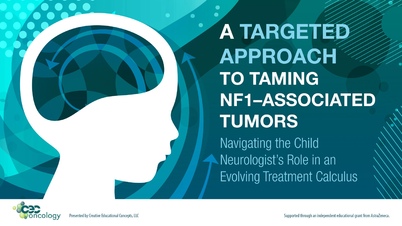A TARGETED **APPROACH TO TAMING** NF1-ASSOCIATED **TUMORS** 

Navigating the Child Neurologist's Role in an **Evolving Treatment Calculus** 

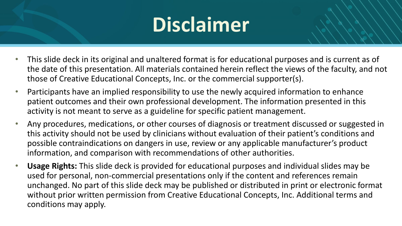# **Disclaimer**

- This slide deck in its original and unaltered format is for educational purposes and is current as of the date of this presentation. All materials contained herein reflect the views of the faculty, and not those of Creative Educational Concepts, Inc. or the commercial supporter(s).
- Participants have an implied responsibility to use the newly acquired information to enhance patient outcomes and their own professional development. The information presented in this activity is not meant to serve as a guideline for specific patient management.
- Any procedures, medications, or other courses of diagnosis or treatment discussed or suggested in this activity should not be used by clinicians without evaluation of their patient's conditions and possible contraindications on dangers in use, review or any applicable manufacturer's product information, and comparison with recommendations of other authorities.
- **Usage Rights:** This slide deck is provided for educational purposes and individual slides may be used for personal, non-commercial presentations only if the content and references remain unchanged. No part of this slide deck may be published or distributed in print or electronic format without prior written permission from Creative Educational Concepts, Inc. Additional terms and conditions may apply.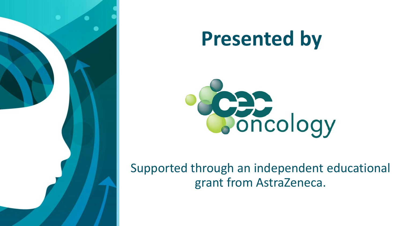

# **Presented by**



Supported through an independent educational grant from AstraZeneca.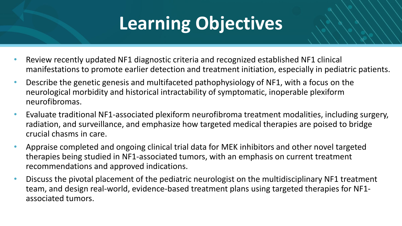## **Learning Objectives**

- Review recently updated NF1 diagnostic criteria and recognized established NF1 clinical manifestations to promote earlier detection and treatment initiation, especially in pediatric patients.
- Describe the genetic genesis and multifaceted pathophysiology of NF1, with a focus on the neurological morbidity and historical intractability of symptomatic, inoperable plexiform neurofibromas.
- Evaluate traditional NF1-associated plexiform neurofibroma treatment modalities, including surgery, radiation, and surveillance, and emphasize how targeted medical therapies are poised to bridge crucial chasms in care.
- Appraise completed and ongoing clinical trial data for MEK inhibitors and other novel targeted therapies being studied in NF1-associated tumors, with an emphasis on current treatment recommendations and approved indications.
- Discuss the pivotal placement of the pediatric neurologist on the multidisciplinary NF1 treatment team, and design real-world, evidence-based treatment plans using targeted therapies for NF1 associated tumors.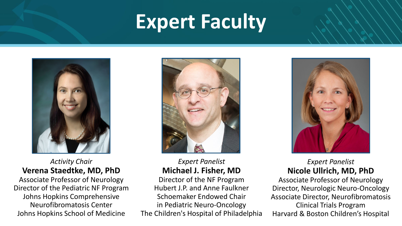## **Expert Faculty**



#### *Activity Chair* **Verena Staedtke, MD, PhD**

Associate Professor of Neurology Director of the Pediatric NF Program Johns Hopkins Comprehensive Neurofibromatosis Center Johns Hopkins School of Medicine



#### *Expert Panelist* **Michael J. Fisher, MD**

Director of the NF Program Hubert J.P. and Anne Faulkner Schoemaker Endowed Chair in Pediatric Neuro-Oncology The Children's Hospital of Philadelphia



#### *Expert Panelist* **Nicole Ullrich, MD, PhD**

Associate Professor of Neurology Director, Neurologic Neuro-Oncology Associate Director, Neurofibromatosis Clinical Trials Program Harvard & Boston Children's Hospital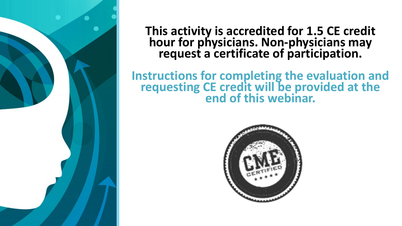

### **This activity is accredited for 1.5 CE credit hour for physicians. Non-physicians may request a certificate of participation.**

### **Instructions for completing the evaluation and requesting CE credit will be provided at the end of this webinar.**

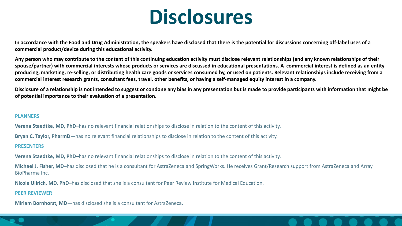### **Disclosures**

**In accordance with the Food and Drug Administration, the speakers have disclosed that there is the potential for discussions concerning off-label uses of a commercial product/device during this educational activity.**

**Any person who may contribute to the content of this continuing education activity must disclose relevant relationships (and any known relationships of their spouse/partner) with commercial interests whose products or services are discussed in educational presentations. A commercial interest is defined as an entity producing, marketing, re-selling, or distributing health care goods or services consumed by, or used on patients. Relevant relationships include receiving from a commercial interest research grants, consultant fees, travel, other benefits, or having a self-managed equity interest in a company.**

**Disclosure of a relationship is not intended to suggest or condone any bias in any presentation but is made to provide participants with information that might be of potential importance to their evaluation of a presentation.**

#### **PLANNERS**

**Verena Staedtke, MD, PhD–**has no relevant financial relationships to disclose in relation to the content of this activity.

**Bryan C. Taylor, PharmD—**has no relevant financial relationships to disclose in relation to the content of this activity.

#### **PRESENTERS**

**Verena Staedtke, MD, PhD–**has no relevant financial relationships to disclose in relation to the content of this activity.

**Michael J. Fisher, MD–**has disclosed that he is a consultant for AstraZeneca and SpringWorks. He receives Grant/Research support from AstraZeneca and Array BioPharma Inc.

**Nicole Ullrich, MD, PhD–**has disclosed that she is a consultant for Peer Review Institute for Medical Education.

#### **PEER REVIEWER**

**Miriam Bornhorst, MD—**has disclosed she is a consultant for AstraZeneca.